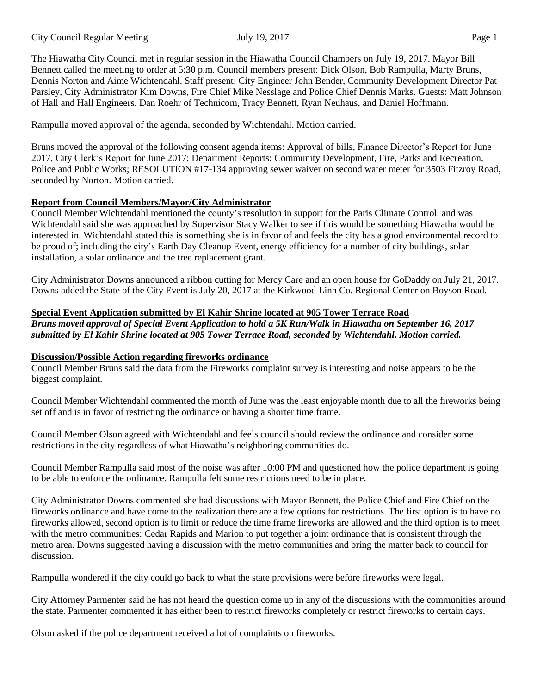City Council Regular Meeting July 19, 2017 Page 1

The Hiawatha City Council met in regular session in the Hiawatha Council Chambers on July 19, 2017. Mayor Bill Bennett called the meeting to order at 5:30 p.m. Council members present: Dick Olson, Bob Rampulla, Marty Bruns, Dennis Norton and Aime Wichtendahl. Staff present: City Engineer John Bender, Community Development Director Pat Parsley, City Administrator Kim Downs, Fire Chief Mike Nesslage and Police Chief Dennis Marks. Guests: Matt Johnson of Hall and Hall Engineers, Dan Roehr of Technicom, Tracy Bennett, Ryan Neuhaus, and Daniel Hoffmann.

Rampulla moved approval of the agenda, seconded by Wichtendahl. Motion carried.

Bruns moved the approval of the following consent agenda items: Approval of bills, Finance Director's Report for June 2017, City Clerk's Report for June 2017; Department Reports: Community Development, Fire, Parks and Recreation, Police and Public Works; RESOLUTION #17-134 approving sewer waiver on second water meter for 3503 Fitzroy Road, seconded by Norton. Motion carried.

## **Report from Council Members/Mayor/City Administrator**

Council Member Wichtendahl mentioned the county's resolution in support for the Paris Climate Control. and was Wichtendahl said she was approached by Supervisor Stacy Walker to see if this would be something Hiawatha would be interested in. Wichtendahl stated this is something she is in favor of and feels the city has a good environmental record to be proud of; including the city's Earth Day Cleanup Event, energy efficiency for a number of city buildings, solar installation, a solar ordinance and the tree replacement grant.

City Administrator Downs announced a ribbon cutting for Mercy Care and an open house for GoDaddy on July 21, 2017. Downs added the State of the City Event is July 20, 2017 at the Kirkwood Linn Co. Regional Center on Boyson Road.

## **Special Event Application submitted by El Kahir Shrine located at 905 Tower Terrace Road**

*Bruns moved approval of Special Event Application to hold a 5K Run/Walk in Hiawatha on September 16, 2017 submitted by El Kahir Shrine located at 905 Tower Terrace Road, seconded by Wichtendahl. Motion carried.* 

## **Discussion/Possible Action regarding fireworks ordinance**

Council Member Bruns said the data from the Fireworks complaint survey is interesting and noise appears to be the biggest complaint.

Council Member Wichtendahl commented the month of June was the least enjoyable month due to all the fireworks being set off and is in favor of restricting the ordinance or having a shorter time frame.

Council Member Olson agreed with Wichtendahl and feels council should review the ordinance and consider some restrictions in the city regardless of what Hiawatha's neighboring communities do.

Council Member Rampulla said most of the noise was after 10:00 PM and questioned how the police department is going to be able to enforce the ordinance. Rampulla felt some restrictions need to be in place.

City Administrator Downs commented she had discussions with Mayor Bennett, the Police Chief and Fire Chief on the fireworks ordinance and have come to the realization there are a few options for restrictions. The first option is to have no fireworks allowed, second option is to limit or reduce the time frame fireworks are allowed and the third option is to meet with the metro communities: Cedar Rapids and Marion to put together a joint ordinance that is consistent through the metro area. Downs suggested having a discussion with the metro communities and bring the matter back to council for discussion.

Rampulla wondered if the city could go back to what the state provisions were before fireworks were legal.

City Attorney Parmenter said he has not heard the question come up in any of the discussions with the communities around the state. Parmenter commented it has either been to restrict fireworks completely or restrict fireworks to certain days.

Olson asked if the police department received a lot of complaints on fireworks.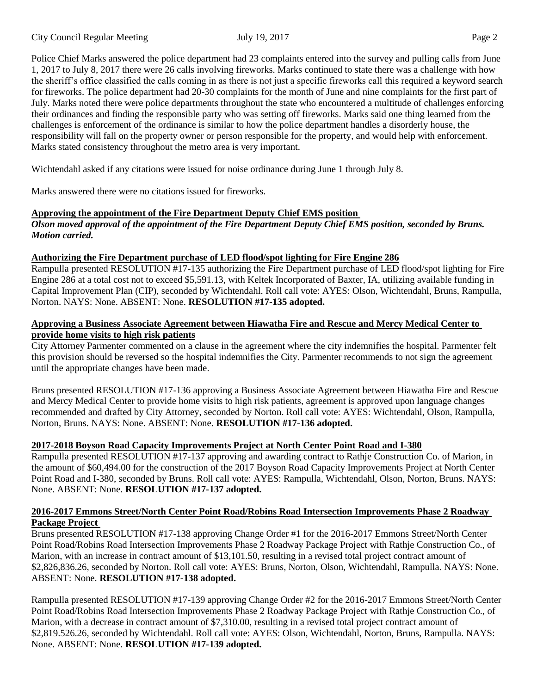Police Chief Marks answered the police department had 23 complaints entered into the survey and pulling calls from June 1, 2017 to July 8, 2017 there were 26 calls involving fireworks. Marks continued to state there was a challenge with how the sheriff's office classified the calls coming in as there is not just a specific fireworks call this required a keyword search for fireworks. The police department had 20-30 complaints for the month of June and nine complaints for the first part of July. Marks noted there were police departments throughout the state who encountered a multitude of challenges enforcing their ordinances and finding the responsible party who was setting off fireworks. Marks said one thing learned from the challenges is enforcement of the ordinance is similar to how the police department handles a disorderly house, the responsibility will fall on the property owner or person responsible for the property, and would help with enforcement. Marks stated consistency throughout the metro area is very important.

Wichtendahl asked if any citations were issued for noise ordinance during June 1 through July 8.

Marks answered there were no citations issued for fireworks.

# **Approving the appointment of the Fire Department Deputy Chief EMS position**

*Olson moved approval of the appointment of the Fire Department Deputy Chief EMS position, seconded by Bruns. Motion carried.* 

## **Authorizing the Fire Department purchase of LED flood/spot lighting for Fire Engine 286**

Rampulla presented RESOLUTION #17-135 authorizing the Fire Department purchase of LED flood/spot lighting for Fire Engine 286 at a total cost not to exceed \$5,591.13, with Keltek Incorporated of Baxter, IA, utilizing available funding in Capital Improvement Plan (CIP), seconded by Wichtendahl. Roll call vote: AYES: Olson, Wichtendahl, Bruns, Rampulla, Norton. NAYS: None. ABSENT: None. **RESOLUTION #17-135 adopted.** 

## **Approving a Business Associate Agreement between Hiawatha Fire and Rescue and Mercy Medical Center to provide home visits to high risk patients**

City Attorney Parmenter commented on a clause in the agreement where the city indemnifies the hospital. Parmenter felt this provision should be reversed so the hospital indemnifies the City. Parmenter recommends to not sign the agreement until the appropriate changes have been made.

Bruns presented RESOLUTION #17-136 approving a Business Associate Agreement between Hiawatha Fire and Rescue and Mercy Medical Center to provide home visits to high risk patients, agreement is approved upon language changes recommended and drafted by City Attorney, seconded by Norton. Roll call vote: AYES: Wichtendahl, Olson, Rampulla, Norton, Bruns. NAYS: None. ABSENT: None. **RESOLUTION #17-136 adopted.** 

# **2017-2018 Boyson Road Capacity Improvements Project at North Center Point Road and I-380**

Rampulla presented RESOLUTION #17-137 approving and awarding contract to Rathje Construction Co. of Marion, in the amount of \$60,494.00 for the construction of the 2017 Boyson Road Capacity Improvements Project at North Center Point Road and I-380, seconded by Bruns. Roll call vote: AYES: Rampulla, Wichtendahl, Olson, Norton, Bruns. NAYS: None. ABSENT: None. **RESOLUTION #17-137 adopted.** 

### **2016-2017 Emmons Street/North Center Point Road/Robins Road Intersection Improvements Phase 2 Roadway Package Project**

Bruns presented RESOLUTION #17-138 approving Change Order #1 for the 2016-2017 Emmons Street/North Center Point Road/Robins Road Intersection Improvements Phase 2 Roadway Package Project with Rathje Construction Co., of Marion, with an increase in contract amount of \$13,101.50, resulting in a revised total project contract amount of \$2,826,836.26, seconded by Norton. Roll call vote: AYES: Bruns, Norton, Olson, Wichtendahl, Rampulla. NAYS: None. ABSENT: None. **RESOLUTION #17-138 adopted.** 

Rampulla presented RESOLUTION #17-139 approving Change Order #2 for the 2016-2017 Emmons Street/North Center Point Road/Robins Road Intersection Improvements Phase 2 Roadway Package Project with Rathje Construction Co., of Marion, with a decrease in contract amount of \$7,310.00, resulting in a revised total project contract amount of \$2,819.526.26, seconded by Wichtendahl. Roll call vote: AYES: Olson, Wichtendahl, Norton, Bruns, Rampulla. NAYS: None. ABSENT: None. **RESOLUTION #17-139 adopted.**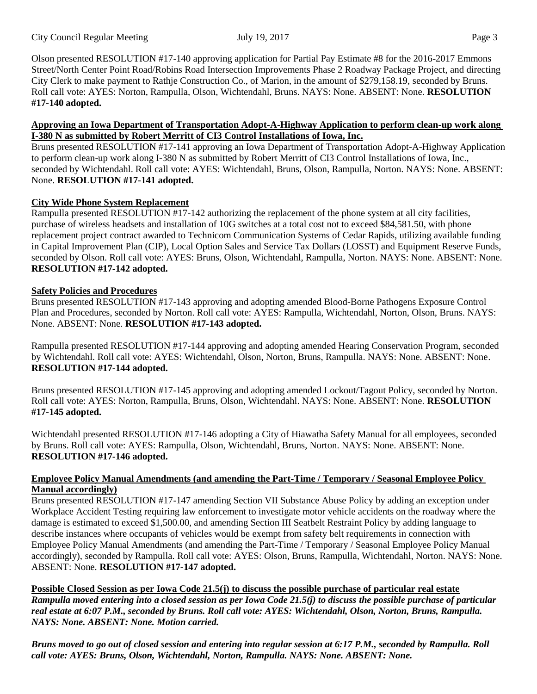City Council Regular Meeting July 19, 2017 Page 3

Olson presented RESOLUTION #17-140 approving application for Partial Pay Estimate #8 for the 2016-2017 Emmons Street/North Center Point Road/Robins Road Intersection Improvements Phase 2 Roadway Package Project, and directing City Clerk to make payment to Rathje Construction Co., of Marion, in the amount of \$279,158.19, seconded by Bruns. Roll call vote: AYES: Norton, Rampulla, Olson, Wichtendahl, Bruns. NAYS: None. ABSENT: None. **RESOLUTION #17-140 adopted.** 

### **Approving an Iowa Department of Transportation Adopt-A-Highway Application to perform clean-up work along I-380 N as submitted by Robert Merritt of CI3 Control Installations of Iowa, Inc.**

Bruns presented RESOLUTION #17-141 approving an Iowa Department of Transportation Adopt-A-Highway Application to perform clean-up work along I-380 N as submitted by Robert Merritt of CI3 Control Installations of Iowa, Inc., seconded by Wichtendahl. Roll call vote: AYES: Wichtendahl, Bruns, Olson, Rampulla, Norton. NAYS: None. ABSENT: None. **RESOLUTION #17-141 adopted.** 

## **City Wide Phone System Replacement**

Rampulla presented RESOLUTION #17-142 authorizing the replacement of the phone system at all city facilities, purchase of wireless headsets and installation of 10G switches at a total cost not to exceed \$84,581.50, with phone replacement project contract awarded to Technicom Communication Systems of Cedar Rapids, utilizing available funding in Capital Improvement Plan (CIP), Local Option Sales and Service Tax Dollars (LOSST) and Equipment Reserve Funds, seconded by Olson. Roll call vote: AYES: Bruns, Olson, Wichtendahl, Rampulla, Norton. NAYS: None. ABSENT: None. **RESOLUTION #17-142 adopted.** 

### **Safety Policies and Procedures**

Bruns presented RESOLUTION #17-143 approving and adopting amended Blood-Borne Pathogens Exposure Control Plan and Procedures, seconded by Norton. Roll call vote: AYES: Rampulla, Wichtendahl, Norton, Olson, Bruns. NAYS: None. ABSENT: None. **RESOLUTION #17-143 adopted.** 

Rampulla presented RESOLUTION #17-144 approving and adopting amended Hearing Conservation Program, seconded by Wichtendahl. Roll call vote: AYES: Wichtendahl, Olson, Norton, Bruns, Rampulla. NAYS: None. ABSENT: None. **RESOLUTION #17-144 adopted.** 

Bruns presented RESOLUTION #17-145 approving and adopting amended Lockout/Tagout Policy, seconded by Norton. Roll call vote: AYES: Norton, Rampulla, Bruns, Olson, Wichtendahl. NAYS: None. ABSENT: None. **RESOLUTION #17-145 adopted.** 

Wichtendahl presented RESOLUTION #17-146 adopting a City of Hiawatha Safety Manual for all employees, seconded by Bruns. Roll call vote: AYES: Rampulla, Olson, Wichtendahl, Bruns, Norton. NAYS: None. ABSENT: None. **RESOLUTION #17-146 adopted.** 

### **Employee Policy Manual Amendments (and amending the Part-Time / Temporary / Seasonal Employee Policy Manual accordingly)**

Bruns presented RESOLUTION #17-147 amending Section VII Substance Abuse Policy by adding an exception under Workplace Accident Testing requiring law enforcement to investigate motor vehicle accidents on the roadway where the damage is estimated to exceed \$1,500.00, and amending Section III Seatbelt Restraint Policy by adding language to describe instances where occupants of vehicles would be exempt from safety belt requirements in connection with Employee Policy Manual Amendments (and amending the Part-Time / Temporary / Seasonal Employee Policy Manual accordingly), seconded by Rampulla. Roll call vote: AYES: Olson, Bruns, Rampulla, Wichtendahl, Norton. NAYS: None. ABSENT: None. **RESOLUTION #17-147 adopted.** 

**Possible Closed Session as per Iowa Code 21.5(j) to discuss the possible purchase of particular real estate** *Rampulla moved entering into a closed session as per Iowa Code 21.5(j) to discuss the possible purchase of particular real estate at 6:07 P.M., seconded by Bruns. Roll call vote: AYES: Wichtendahl, Olson, Norton, Bruns, Rampulla. NAYS: None. ABSENT: None. Motion carried.* 

*Bruns moved to go out of closed session and entering into regular session at 6:17 P.M., seconded by Rampulla. Roll call vote: AYES: Bruns, Olson, Wichtendahl, Norton, Rampulla. NAYS: None. ABSENT: None.*